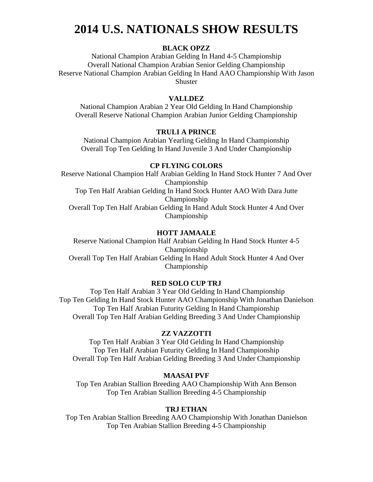## **2014 U.S. NATIONALS SHOW RESULTS**

### **BLACK OPZZ**

National Champion Arabian Gelding In Hand 4-5 Championship Overall National Champion Arabian Senior Gelding Championship Reserve National Champion Arabian Gelding In Hand AAO Championship With Jason Shuster

#### **VALLDEZ**

National Champion Arabian 2 Year Old Gelding In Hand Championship Overall Reserve National Champion Arabian Junior Gelding Championship

#### **TRULI A PRINCE**

National Champion Arabian Yearling Gelding In Hand Championship Overall Top Ten Gelding In Hand Juvenile 3 And Under Championship

#### **CP FLYING COLORS**

Reserve National Champion Half Arabian Gelding In Hand Stock Hunter 7 And Over Championship Top Ten Half Arabian Gelding In Hand Stock Hunter AAO With Dara Jutte Championship Overall Top Ten Half Arabian Gelding In Hand Adult Stock Hunter 4 And Over Championship

#### **HOTT JAMAALE**

Reserve National Champion Half Arabian Gelding In Hand Stock Hunter 4-5 Championship Overall Top Ten Half Arabian Gelding In Hand Adult Stock Hunter 4 And Over Championship

#### **RED SOLO CUP TRJ**

Top Ten Half Arabian 3 Year Old Gelding In Hand Championship Top Ten Gelding In Hand Stock Hunter AAO Championship With Jonathan Danielson Top Ten Half Arabian Futurity Gelding In Hand Championship Overall Top Ten Half Arabian Gelding Breeding 3 And Under Championship

#### **ZZ VAZZOTTI**

Top Ten Half Arabian 3 Year Old Gelding In Hand Championship Top Ten Half Arabian Futurity Gelding In Hand Championship Overall Top Ten Half Arabian Gelding Breeding 3 And Under Championship

#### **MAASAI PVF**

Top Ten Arabian Stallion Breeding AAO Championship With Ann Benson Top Ten Arabian Stallion Breeding 4-5 Championship

#### **TRJ ETHAN**

Top Ten Arabian Stallion Breeding AAO Championship With Jonathan Danielson Top Ten Arabian Stallion Breeding 4-5 Championship